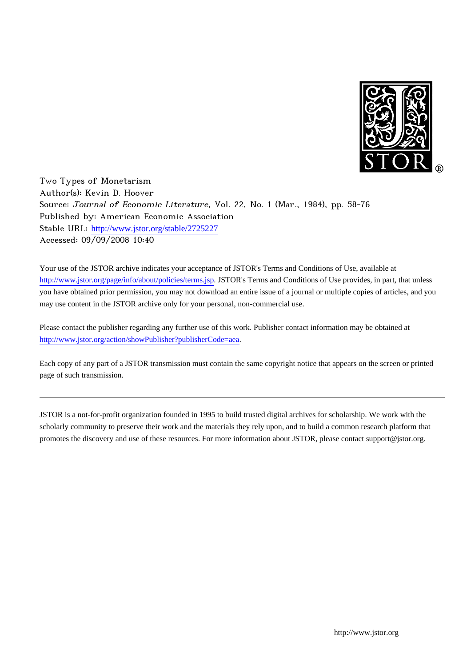

Two Types of Monetarism Author(s): Kevin D. Hoover Source: Journal of Economic Literature, Vol. 22, No. 1 (Mar., 1984), pp. 58-76 Published by: American Economic Association Stable URL: [http://www.jstor.org/stable/2725227](http://www.jstor.org/stable/2725227?origin=JSTOR-pdf) Accessed: 09/09/2008 10:40

Your use of the JSTOR archive indicates your acceptance of JSTOR's Terms and Conditions of Use, available at <http://www.jstor.org/page/info/about/policies/terms.jsp>. JSTOR's Terms and Conditions of Use provides, in part, that unless you have obtained prior permission, you may not download an entire issue of a journal or multiple copies of articles, and you may use content in the JSTOR archive only for your personal, non-commercial use.

Please contact the publisher regarding any further use of this work. Publisher contact information may be obtained at <http://www.jstor.org/action/showPublisher?publisherCode=aea>.

Each copy of any part of a JSTOR transmission must contain the same copyright notice that appears on the screen or printed page of such transmission.

JSTOR is a not-for-profit organization founded in 1995 to build trusted digital archives for scholarship. We work with the scholarly community to preserve their work and the materials they rely upon, and to build a common research platform that promotes the discovery and use of these resources. For more information about JSTOR, please contact support@jstor.org.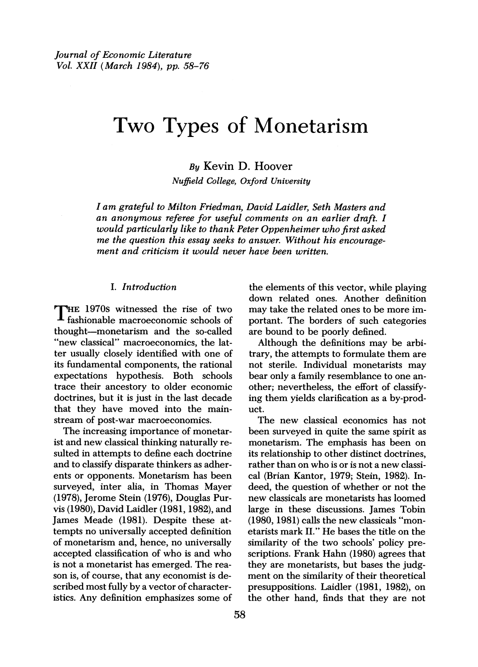# **Two Types of Monetarism**

## **By Kevin D. Hoover**

**Nuffield College, Oxford University** 

**I am grateful to Milton Friedman, David Laidler, Seth Masters and an anonymous referee for useful comments on an earlier draft. I would particularly like to thank Peter Oppenheimer who first asked me the question this essay seeks to answer. Without his encouragement and criticism it would never have been written.** 

#### **I. Introduction**

**THE 1970s witnessed the rise of two fashionable macroeconomic schools of thought-monetarism and the so-called "new classical" macroeconomics, the latter usually closely identified with one of its fundamental components, the rational expectations hypothesis. Both schools trace their ancestory to older economic doctrines, but it is just in the last decade that they have moved into the mainstream of post-war macroeconomics.** 

**The increasing importance of monetarist and new classical thinking naturally resulted in attempts to define each doctrine and to classify disparate thinkers as adherents or opponents. Monetarism has been surveyed, inter alia, in Thomas Mayer (1978), Jerome Stein (1976), Douglas Purvis (1980), David Laidler (1981, 1982), and James Meade (1981). Despite these attempts no universally accepted definition of monetarism and, hence, no universally accepted classification of who is and who is not a monetarist has emerged. The reason is, of course, that any economist is described most fully by a vector of characteristics. Any definition emphasizes some of** 

**the elements of this vector, while playing down related ones. Another definition may take the related ones to be more important. The borders of such categories are bound to be poorly defined.** 

**Although the definitions may be arbitrary, the attempts to formulate them are not sterile. Individual monetarists may bear only a family resemblance to one another; nevertheless, the effort of classifying them yields clarification as a by-product.** 

**The new classical economics has not been surveyed in quite the same spirit as monetarism. The emphasis has been on its relationship to other distinct doctrines, rather than on who is or is not a new classical (Brian Kantor, 1979; Stein, 1982). Indeed, the question of whether or not the new classicals are monetarists has loomed large in these discussions. James Tobin (1980, 1981) calls the new classicals "monetarists mark II." He bases the title on the similarity of the two schools' policy prescriptions. Frank Hahn (1980) agrees that they are monetarists, but bases the judgment on the similarity of their theoretical presuppositions. Laidler (1981, 1982), on the other hand, finds that they are not**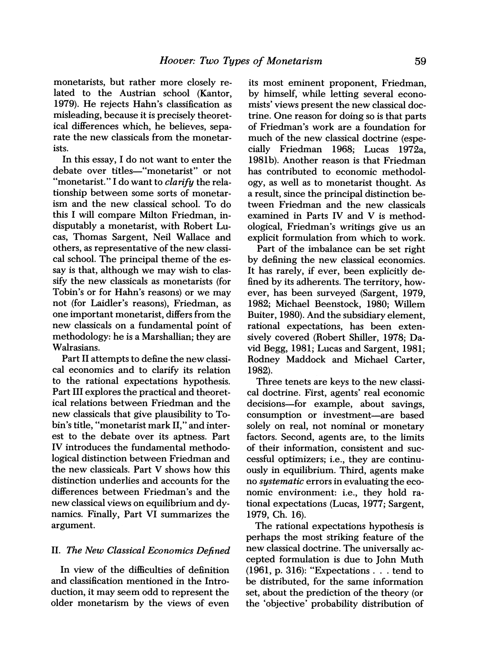**monetarists, but rather more closely related to the Austrian school (Kantor, 1979). He rejects Hahn's classification as misleading, because it is precisely theoretical differences which, he believes, separate the new classicals from the monetarists.** 

**In this essay, I do not want to enter the debate over titles-"monetarist" or not "monetarist." I do want to clarify the relationship between some sorts of monetarism and the new classical school. To do this I will compare Milton Friedman, indisputably a monetarist, with Robert Lucas, Thomas Sargent, Neil Wallace and others, as representative of the new classical school. The principal theme of the essay is that, although we may wish to classify the new classicals as monetarists (for Tobin's or for Hahn's reasons) or we may not (for Laidler's reasons), Friedman, as one important monetarist, differs from the new classicals on a fundamental point of methodology: he is a Marshallian; they are Walrasians.** 

**Part II attempts to define the new classical economics and to clarify its relation to the rational expectations hypothesis. Part III explores the practical and theoretical relations between Friedman and the new classicals that give plausibility to Tobin's title, "monetarist mark II," and interest to the debate over its- aptness. Part IV introduces the fundamental methodological distinction between Friedman and the new classicals. Part V shows how this distinction underlies and accounts for the differences between Friedman's and the new classical views on equilibrium and dynamics. Finally, Part VI summarizes the argument.** 

## **II. The New Classical Economics Defined**

**In view of the difficulties of definition and classification mentioned in the Introduction, it may seem odd to represent the older monetarism by the views of even** 

**its most eminent proponent, Friedman, by himself, while letting several economists' views present the new classical doctrine. One reason for doing so is that parts of Friedman's work are a foundation for much of the new classical doctrine (especially Friedman 1968; Lucas 1972a, 1981b). Another reason is that Friedman has contributed to economic methodology, as well as to monetarist thought. As a result, since the principal distinction between Friedman and the new classicals examined in Parts IV and V is methodological, Friedman's writings give us an explicit formulation from which to work.** 

**Part of the imbalance can be set right by defining the new classical economics. It has rarely, if ever, been explicitly defined by its adherents. The territory, however, has been surveyed (Sargent, 1979, 1982; Michael Beenstock, 1980; Willem Buiter, 1980). And the subsidiary element, rational expectations, has been extensively covered (Robert Shiller, 1978; David Begg, 1981; Lucas and Sargent, 1981; Rodney Maddock and Michael Carter, 1982).** 

**Three tenets are keys to the new classical doctrine. First, agents' real economic**  decisions—for example, about savings, **consumption or investment-are based solely on real, not nominal or monetary factors. Second, agents are, to the limits of their information, consistent and successful optimizers; i.e., they are continuously in equilibrium. Third, agents make no systematic errors in evaluating the economic environment: i.e., they hold rational expectations (Lucas, 1977; Sargent, 1979, Ch. 16).** 

**The rational expectations hypothesis is perhaps the most striking feature of the new classical doctrine. The universally accepted formulation is due to John Muth (1961, p. 316): "Expectations . . . tend to be distributed, for the same information set, about the prediction of the theory (or the 'objective' probability distribution of**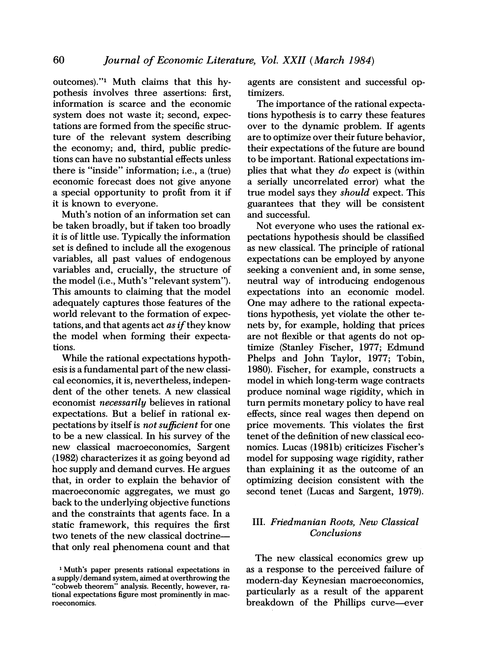**outcomes)."1 Muth claims that this hypothesis involves three assertions: first, information is scarce and the economic system does not waste it; second, expectations are formed from the specific structure of the relevant system describing the economy; and, third, public predictions can have no substantial effects unless there is "inside" information; i.e., a (true) economic forecast does not give anyone a special opportunity to profit from it if it is known to everyone.** 

**Muth's notion of an information set can be taken broadly, but if taken too broadly it is of little use. Typically the information set is defined to include all the exogenous variables, all past values of endogenous variables and, crucially, the structure of the model (i.e., Muth's "relevant system"). This amounts to claiming that the model adequately captures those features of the world relevant to the formation of expectations, and that agents act as if they know the model when forming their expectations.** 

**While the rational expectations hypothesis is a fundamental part of the new classical economics, it is, nevertheless, independent of the other tenets. A new classical economist necessarily believes in rational expectations. But a belief in rational expectations by itself is not sufficient for one to be a new classical. In his survey of the new classical macroeconomics, Sargent (1982) characterizes it as going beyond ad hoc supply and demand curves. He argues that, in order to explain the behavior of macroeconomic aggregates, we must go back to the underlying objective functions and the constraints that agents face. In a static framework, this requires the first two tenets of the new classical doctrinethat only real phenomena count and that**  **agents are consistent and successful optimizers.** 

**The importance of the rational expectations hypothesis is to carry these features over to the dynamic problem. If agents are to optimize over their future behavior, their expectations of the future are bound to be important. Rational expectations implies that what they do expect is (within a serially uncorrelated error) what the true model says they should expect. This guarantees that they will be consistent and successful.** 

**Not everyone who uses the rational expectations hypothesis should be classified as new classical. The principle of rational expectations can be employed by anyone seeking a convenient and, in some sense, neutral way of introducing endogenous expectations into an economic model. One may adhere to the rational expectations hypothesis, yet violate the other tenets by, for example, holding that prices are not flexible or that agents do not optimize (Stanley Fischer, 1977; Edmund Phelps and John Taylor, 1977; Tobin, 1980). Fischer, for example, constructs a model in which long-term wage contracts produce nominal wage rigidity, which in turn permits monetary policy to have real effects, since real wages then depend on price movements. This violates the first tenet of the definition of new classical economics. Lucas (1981b) criticizes Fischer's model for supposing wage rigidity, rather than explaining it as the outcome of an optimizing decision consistent with the second tenet (Lucas and Sargent, 1979).** 

## **III. Friedmanian Roots, New Classical Conclusions**

**The new classical economics grew up as a response to the perceived failure of modern-day Keynesian macroeconomics, particularly as a result of the apparent breakdown of the Phillips curve-ever** 

**<sup>1</sup> Muth's paper presents rational expectations in a supply/demand system, aimed at overthrowing the "cobweb theorem" analysis. Recently, however, rational expectations figure most prominently in macroeconomics.**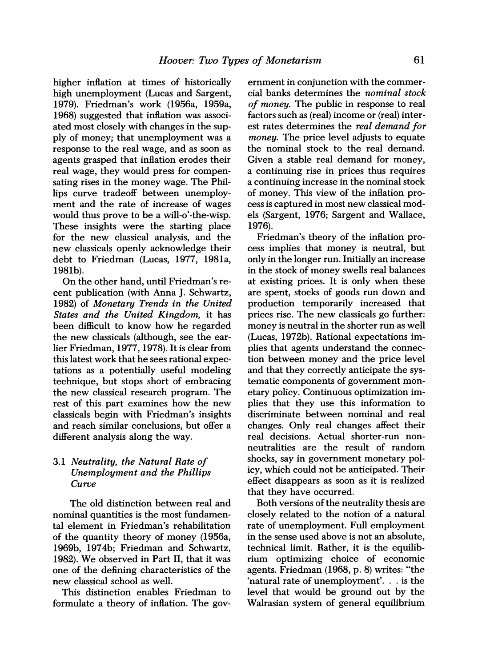**higher inflation at times of historically high unemployment (Lucas and Sargent, 1979). Friedman's work (1956a, 1959a, 1968) suggested that inflation was associated most closely with changes in the supply of money; that unemployment was a response to the real wage, and as soon as agents grasped that inflation erodes their real wage, they would press for compensating rises in the money wage. The Phillips curve tradeoff between unemployment and the rate of increase of wages would thus prove to be a will-o'-the-wisp. These insights were the starting place for the new classical analysis, and the new classicals openly acknowledge their debt to Friedman (Lucas, 1977, 1981a, 1981b).** 

**On the other hand, until Friedman's recent publication (with Anna J. Schwartz, 1982) of Monetary Trends in the United States and the United Kingdom, it has been difficult to know how he regarded the new classicals (although, see the earlier Friedman, 1977, 1978). It is clear from this latest work that he sees rational expectations as a potentially useful modeling technique, but stops short of embracing the new classical research program. The rest of this part examines how the new classicals begin with Friedman's insights and reach similar conclusions, but offer a different analysis along the way.** 

## **3.1 Neutrality, the Natural Rate of Unemployment and the Phillips Curve**

**The old distinction between real and nominal quantities is the most fundamental element in Friedman's rehabilitation of the quantity theory of money (1956a, 1969b, 1974b; Friedman and Schwartz, 1982). We observed in Part II, that it was one of the defining characteristics of the new classical school as well.** 

**This distinction enables Friedman to formulate a theory of inflation. The gov-**

**ernment in conjunction with the commercial banks determines the nominal stock of money. The public in response to real factors such as (real) income or (real) interest rates determines the real demand for money. The price level adjusts to equate the nominal stock to the real demand. Given a stable real demand for money, a continuing rise in prices thus requires a continuing increase in the nominal stock of money. This view of the inflation process is captured in most new classical models (Sargent, 1976; Sargent and Wallace, 1976).** 

**Friedman's theory of the inflation process implies that money is neutral, but only in the longer run. Initially an increase in the stock of money swells real balances at existing prices. It is only when these are spent, stocks of goods run down and production temporarily increased that prices rise. The new classicals go further: money is neutral in the shorter run as well (Lucas, 1972b). Rational expectations implies that agents understand the connection between money and the price level and that they correctly anticipate the systematic components of government monetary policy. Continuous optimization implies that they use this information to discriminate between nominal and real changes. Only real changes affect their real decisions. Actual shorter-run nonneutralities are the result of random shocks, say in government monetary policy, which could not be anticipated. Their effect disappears as soon as it is realized that they have occurred.** 

**Both versions of the neutrality thesis are closely related to the notion of a natural rate of unemployment. Full employment in the sense used above is not an absolute, technical limit. Rather, it is the equilibrium optimizing choice of economic agents. Friedman (1968, p. 8) writes: "the 'natural rate of unemployment'. . . is the level that would be ground out by the Walrasian system of general equilibrium**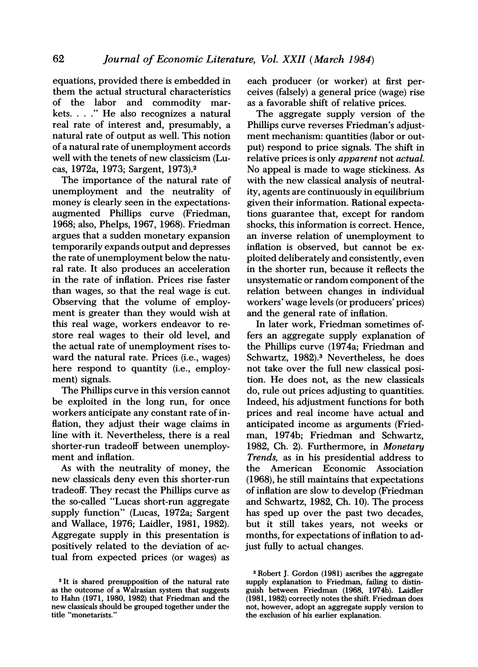**equations, provided there is embedded in them the actual structural characteristics of the labor and commodity markets.... He also recognizes a natural real rate of interest and, presumably, a natural rate of output as well. This notion of a natural rate of unemployment accords well with the tenets of new classicism (Lucas, 1972a, 1973; Sargent, 1973).2** 

**The importance of the natural rate of unemployment and the neutrality of money is clearly seen in the expectationsaugmented Phillips curve (Friedman, 1968; also, Phelps, 1967, 1968). Friedman argues that a sudden monetary expansion temporarily expands output and depresses the rate of unemployment below the natural rate. It also produces an acceleration in the rate of inflation. Prices rise faster than wages, so that the real wage is cut. Observing that the volume of employment is greater than they would wish at this real wage, workers endeavor to restore real wages to their old level, and the actual rate of unemployment rises toward the natural rate. Prices (i.e., wages) here respond to quantity (i.e., employment) signals.** 

**The Phillips curve in this version cannot be exploited in the long run, for once workers anticipate any constant rate of inflation, they adjust their wage claims in line with it. Nevertheless, there is a real shorter-run tradeoff between unemployment and inflation.** 

**As with the neutrality of money, the new classicals deny even this shorter-run tradeoff. They recast the Phillips curve as the so-called "Lucas short-run aggregate supply function" (Lucas, 1972a; Sargent and Wallace, 1976; Laidler, 1981, 1982). Aggregate supply in this presentation is positively related to the deviation of actual from expected prices (or wages) as** 

**each producer (or worker) at first perceives (falsely) a general price (wage) rise as a favorable shift of relative prices.** 

**The aggregate supply version of the Phillips curve reverses Friedman's adjustment mechanism: quantities (labor or output) respond to price signals. The shift in relative prices is only apparent not actual. No appeal is made to wage stickiness. As with the new classical analysis of neutrality, agents are continuously in equilibrium given their information. Rational expectations guarantee that, except for random shocks, this information is correct. Hence, an inverse relation of unemployment to inflation is observed, but cannot be exploited deliberately and consistently, even in the shorter run, because it reflects the unsystematic or random component of the relation between changes in individual workers' wage levels (or producers' prices) and the general rate of inflation.** 

**In later work, Friedman sometimes offers an aggregate supply explanation of the Phillips curve (1974a; Friedman and Schwartz, 1982).3 Nevertheless, he does not take over the full new classical position. He does not, as the new classicals do, rule out prices adjusting to quantities. Indeed, his adjustment functions for both prices and real income have actual and anticipated income as arguments (Friedman, 1974b; Friedman and Schwartz, 1982, Ch. 2). Furthermore, in Monetary Trends, as in his presidential address to the American Economic Association (1968), he still maintains that expectations of inflation are slow to develop (Friedman and Schwartz, 1982, Ch. 10). The process has sped up over the past two decades, but it still takes years, not weeks or months, for expectations of inflation to adjust fully to actual changes.** 

**<sup>2</sup> It is shared presupposition of the natural rate as the outcome of a Walrasian system that suggests to Hahn (1971, 1980, 1982) that Friedman and the new classicals should be grouped together under the title "monetarists."** 

**<sup>3</sup>Robert J. Gordon (1981) ascribes the aggregate supply explanation to Friedman, failing to distinguish between Friedman (1968, 1974b). Laidler (1981, 1982) correctly notes the shift. Friedman does not, however, adopt an aggregate supply version to the exclusion of his earlier explanation.**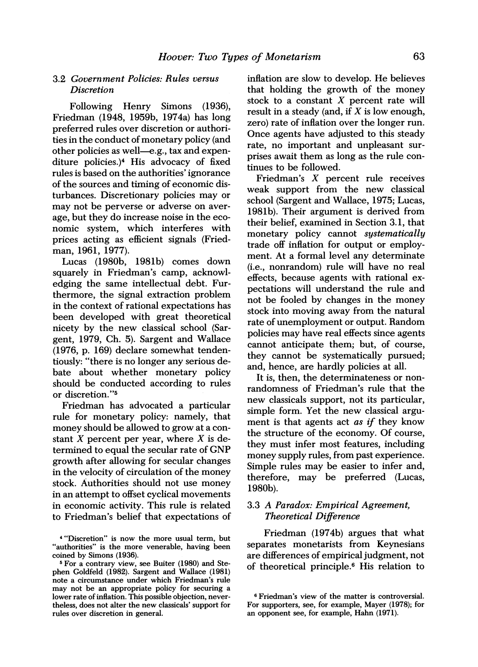## **3.2 Government Policies: Rules versus Discretion**

**Following Henry Simons (1936), Friedman (1948, 1959b, 1974a) has long preferred rules over discretion or authorities in the conduct of monetary policy (and other policies as well-e.g., tax and expenditure policies.)4 His advocacy of fixed rules is based on the authorities' ignorance of the sources and timing of economic disturbances. Discretionary policies may or may not be perverse or adverse on average, but they do increase noise in the economic system, which interferes with prices acting as efficient signals (Friedman, 1961, 1977).** 

**Lucas (1980b, 1981b) comes down squarely in Friedman's camp, acknowledging the same intellectual debt. Furthermore, the signal extraction problem in the context of rational expectations has been developed with great theoretical nicety by the new classical school (Sargent, 1979, Ch. 5). Sargent and Wallace (1976, p. 169) declare somewhat tendentiously: "there is no longer any serious debate about whether monetary policy should be conducted according to rules or discretion."5** 

**Friedman has advocated a particular rule for monetary policy: namely, that money should be allowed to grow at a constant X percent per year, where X is determined to equal the secular rate of GNP growth after allowing for secular changes in the velocity of circulation of the money stock. Authorities should not use money in an attempt to offset cyclical movements in economic activity. This rule is related to Friedman's belief that expectations of**  **inflation are slow to develop. He believes that holding the growth of the money stock to a constant X percent rate will result in a steady (and, if X is low enough, zero) rate of inflation over the longer run. Once agents have adjusted to this steady rate, no important and unpleasant surprises await them as long as the rule continues to be followed.** 

**Friedman's X percent rule receives weak support from the new classical school (Sargent and Wallace, 1975; Lucas, 1981b). Their argument is derived from their belief, examined in Section 3.1, that monetary policy cannot systematically trade off inflation for output or employment. At a formal level any determinate (i.e., nonrandom) rule will have no real effects, because agents with rational expectations will understand the rule and not be fooled by changes in the money stock into moving away from the natural rate of unemployment or output. Random policies may have real effects since agents cannot anticipate them; but, of course, they cannot be systematically pursued; and, hence, are hardly policies at all.** 

**It is, then, the determinateness or nonrandomness of Friedman's rule that the new classicals support, not its particular, simple form. Yet the new classical argument is that agents act as if they know the structure of the economy. Of course, they must infer most features, including money supply rules, from past experience. Simple rules may be easier to infer and, therefore, may be preferred (Lucas, 1980b).** 

## **3.3 A Paradox: Empirical Agreement, Theoretical Difference**

**Friedman (1974b) argues that what separates monetarists from Keynesians are differences of empirical judgment, not of theoretical principle.6 His relation to** 

**<sup>4&</sup>quot;Discretion" is now the more usual term, but "authorities" is the more venerable, having been coined by Simons (1936).** 

**<sup>5</sup>For a contrary view, see Buiter (1980) and Stephen Goldfeld (1982). Sargent and Wallace (1981) note a circumstance under which Friedman's rule may not be an appropriate policy for securing a lower rate of inflation. This possible objection, nevertheless, does not alter the new classicals' support for rules over discretion in general.** 

**<sup>6</sup>Friedman's view of the matter is controversial. For supporters, see, for example, Mayer (1978); for an opponent see, for example, Hahn (1971).**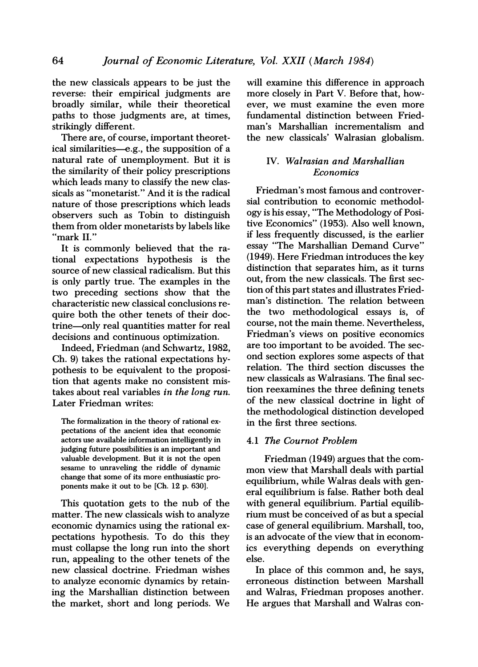**the new classicals appears to be just the reverse: their empirical judgments are broadly similar, while their theoretical paths to those judgments are, at times, strikingly different.** 

**There are, of course, important theoretical similarities-e.g., the supposition of a natural rate of unemployment. But it is the similarity of their policy prescriptions which leads many to classify the new classicals as "monetarist." And it is the radical nature of those prescriptions which leads observers such as Tobin to distinguish them from older monetarists by labels like "mark II."** 

**It is commonly believed that the rational expectations hypothesis is the source of new classical radicalism. But this is only partly true. The examples in the two preceding sections show that the characteristic new classical conclusions require both the other tenets of their doctrine-only real quantities matter for real decisions and continuous optimization.** 

**Indeed, Friedman (and Schwartz, 1982, Ch. 9) takes the rational expectations hypothesis to be equivalent to the proposition that agents make no consistent mistakes about real variables in the long run. Later Friedman writes:** 

**The formalization in the theory of rational expectations of the ancient idea that economic actors use available information intelligently in judging future possibilities is an important and valuable development. But it is not the open sesame to unraveling the riddle of dynamic change that some of its more enthusiastic proponents make it out to be [Ch. 12 p. 630].** 

**This quotation gets to the nub of the matter. The new classicals wish to analyze economic dynamics using the rational expectations hypothesis. To do this they must collapse the long run into the short run, appealing to the other tenets of the new classical doctrine. Friedman wishes to analyze economic dynamics by retaining the Marshallian distinction between the market, short and long periods. We** 

**will examine this difference in approach more closely in Part V. Before that, however, we must examine the even more fundamental distinction between Friedman's Marshallian incrementalism and the new classicals' Walrasian globalism.** 

## **IV. Walrasian and Marshallian Economics**

**Friedman's most famous and controversial contribution to economic methodology is his essay, "The Methodology of Positive Economics" (1953). Also well known, if less frequently discussed, is the earlier essay "The Marshallian Demand Curve" (1949). Here Friedman introduces the key distinction that separates him, as it turns out, from the new classicals. The first section of this part states and illustrates Friedman's distinction. The relation between the two methodological essays is, of course, not the main theme. Nevertheless, Friedman's views on positive economics are too important to be avoided. The second section explores some aspects of that relation. The third section discusses the new classicals as Walrasians. The final section reexamines the three defining tenets of the new classical doctrine in light of the methodological distinction developed in the first three sections.** 

#### **4.1 The Cournot Problem**

**Friedman (1949) argues that the common view that Marshall deals with partial equilibrium, while Walras deals with general equilibrium is false. Rather both deal with general equilibrium. Partial equilibrium must be conceived of as but a special case of general equilibrium. Marshall, too, is an advocate of the view that in economics everything depends on everything else.** 

**In place of this common and, he says, erroneous distinction between Marshall and Walras, Friedman proposes another. He argues that Marshall and Walras con-**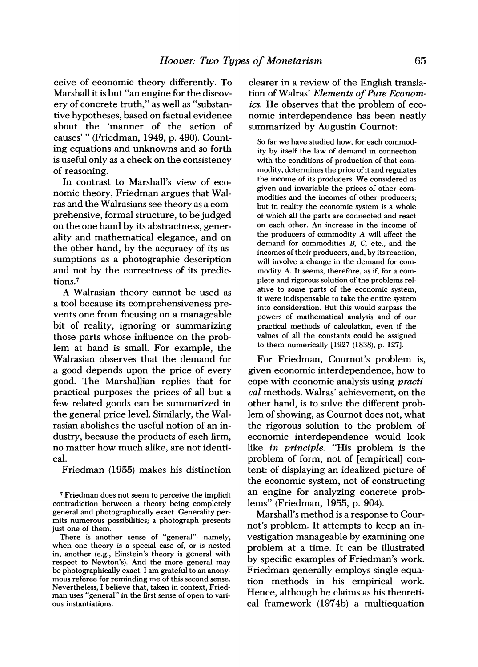**ceive of economic theory differently. To Marshall it is but "an engine for the discovery of concrete truth," as well as "substantive hypotheses, based on factual evidence about the 'manner of the action of causes'" (Friedman, 1949, p. 490). Counting equations and unknowns and so forth is useful only as a check on the consistency of reasoning.** 

**In contrast to Marshall's view of economic theory, Friedman argues that Walras and the Walrasians see theory as a comprehensive, formal structure, to be judged on the one hand by its abstractness, generality and mathematical elegance, and on the other hand, by the accuracy of its assumptions as a photographic description and not by the correctness of its predictions.7** 

**A Walrasian theory cannot be used as a tool because its comprehensiveness prevents one from focusing on a manageable bit of reality, ignoring or summarizing those parts whose influence on the problem at hand is small. For example, the Walrasian observes that the demand for a good depends upon the price of every good. The Marshallian replies that for practical purposes the prices of all but a few related goods can be summarized in the general price level. Similarly, the Walrasian abolishes the useful notion of an industry, because the products of each firm, no matter how much alike, are not identical.** 

**Friedman (1955) makes his distinction** 

**clearer in a review of the English translation of Walras' Elements of Pure Economics. He observes that the problem of economic interdependence has been neatly summarized by Augustin Cournot:** 

**So far we have studied how, for each commodity by itself the law of demand in connection with the conditions of production of that commodity, determines the price of it and regulates the income of its producers. We considered as given and invariable the prices of other commodities and the incomes of other producers; but in reality the economic system is a whole of which all the parts are connected and react on each other. An increase in the income of the producers of commodity A will affect the demand for commodities B, C, etc., and the incomes of their producers, and, by its reaction, will involve a change in the demand for commodity A. It seems, therefore, as if, for a complete and rigorous solution of the problems relative to some parts of the economic system, it were indispensable to take the entire system into consideration. But this would surpass the powers of mathematical analysis and of our practical methods of calculation, even if the values of all the constants could be assigned to them numerically [1927 (1838), p. 127].** 

**For Friedman, Cournot's problem is, given economic interdependence, how to cope with economic analysis using practical methods. Walras' achievement, on the other hand, is to solve the different problem of showing, as Cournot does not, what the rigorous solution to the problem of economic interdependence would look like in principle. "His problem is the problem of form, not of [empirical] content: of displaying an idealized picture of the economic system, not of constructing an engine for analyzing concrete problems" (Friedman, 1955, p. 904).** 

**Marshall's method is a response to Cournot's problem. It attempts to keep an investigation manageable by examining one problem at a time. It can be illustrated by specific examples of Friedman's work. Friedman generally employs single equation methods in his empirical work. Hence, although he claims as his theoretical framework (1974b) a multiequation** 

**<sup>7</sup> Friedman does not seem to perceive the implicit contradiction between a theory being completely general and photographically exact. Generality permits numerous possibilities; a photograph presents just one of them.** 

There is another sense of "general"-namely, **when one theory is a special case of, or is nested in, another (e.g., Einstein's theory is general with respect to Newton's). And the more general may be photographically exact. I am grateful to an anonymous referee for reminding me of this second sense. Nevertheless, I believe that, taken in context, Friedman uses "general" in the first sense of open to various instantiations.**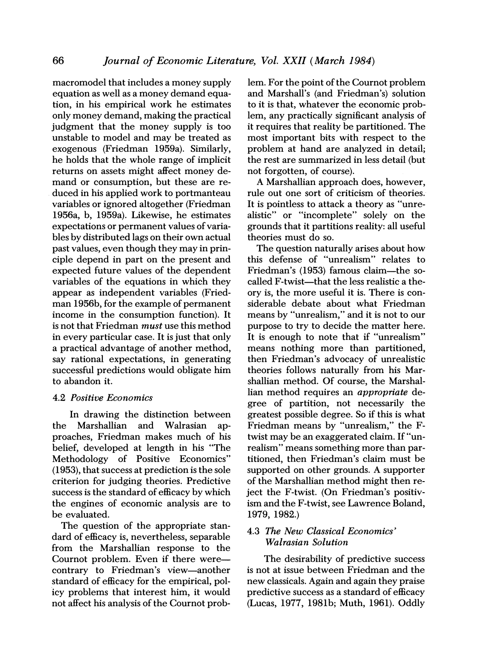**macromodel that includes a money supply equation as well as a money demand equation, in his empirical work he estimates only money demand, making the practical judgment that the money supply is too unstable to model and may be treated as exogenous (Friedman 1959a). Similarly, he holds that the whole range of implicit returns on assets might affect money demand or consumption, but these are reduced in his applied work to portmanteau variables or ignored altogether (Friedman 1956a, b, 1959a). Likewise, he estimates expectations or permanent values of variables by distributed lags on their own actual past values, even though they may in principle depend in part on the present and expected future values of the dependent variables of the equations in which they appear as independent variables (Friedman 1956b, for the example of permanent income in the consumption function). It is not that Friedman must use this method in every particular case. It is just that only a practical advantage of another method, say rational expectations, in generating successful predictions would obligate him to abandon it.** 

#### **4.2 Positive Economics**

**In drawing the distinction between the Marshallian and Walrasian approaches, Friedman makes much of his belief, developed at length in his "The Methodology of Positive Economics" (1953), that success at prediction is the sole criterion for judging theories. Predictive success is the standard of efficacy by which the engines of economic analysis are to be evaluated.** 

**The question of the appropriate standard of efficacy is, nevertheless, separable from the Marshallian response to the Cournot problem. Even if there werecontrary to Friedman's view-another standard of efficacy for the empirical, policy problems that interest him, it would not affect his analysis of the Cournot prob-** **lem. For the point of the Cournot problem and Marshall's (and Friedman's) solution to it is that, whatever the economic problem, any practically significant analysis of it requires that reality be partitioned. The most important bits with respect to the problem at hand are analyzed in detail; the rest are summarized in less detail (but not forgotten, of course).** 

**A Marshallian approach does, however, rule out one sort of criticism of theories. It is pointless to attack a theory as "unrealistic" or "incomplete" solely on the grounds that it partitions reality: all useful theories must do so.** 

**The question naturally arises about how this defense of "unrealism" relates to Friedman's (1953) famous claim-the so**called F-twist-that the less realistic a the**ory is, the more useful it is. There is considerable debate about what Friedman means by "unrealism," and it is not to our purpose to try to decide the matter here. It is enough to note that if "unrealism" means nothing more than partitioned, then Friedman's advocacy of unrealistic theories follows naturally from his Marshallian method. Of course, the Marshallian method requires an appropriate degree of partition, not necessarily the greatest possible degree. So if this is what Friedman means by "unrealism," the Ftwist may be an exaggerated claim. If "unrealism" means something more than partitioned, then Friedman's claim must be supported on other grounds. A supporter of the Marshallian method might then reject the F-twist. (On Friedman's positivism and the F-twist, see Lawrence Boland, 1979, 1982.)** 

## **4.3 The New Classical Economics' Walrasian Solution**

**The desirability of predictive success is not at issue between Friedman and the new classicals. Again and again they praise predictive success as a standard of efficacy (Lucas, 1977, 1981b; Muth, 1961). Oddly**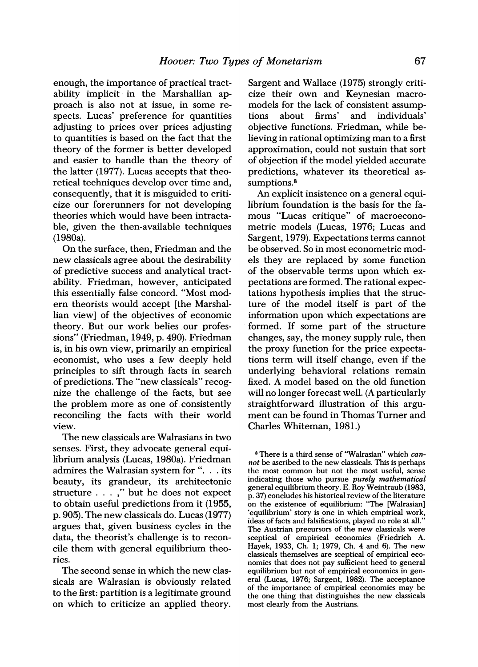**enough, the importance of practical tractability implicit in the Marshallian approach is also not at issue, in some respects. Lucas' preference for quantities adjusting to prices over prices adjusting to quantities is based on the fact that the theory of the former is better developed and easier to handle than the theory of the latter (1977). Lucas accepts that theoretical techniques develop over time and, consequently, that it is misguided to criticize our forerunners for not developing theories which would have been intractable, given the then-available techniques (1980a).** 

**On the surface, then, Friedman and the new classicals agree about the desirability of predictive success and analytical tractability. Friedman, however, anticipated this essentially false concord. "Most modern theorists would accept [the Marshallian view] of the objectives of economic theory. But our work belies our professions" (Friedman, 1949, p. 490). Friedman is, in his own view, primarily an empirical economist, who uses a few deeply held principles to sift through facts in search of predictions. The "new classicals" recognize the challenge of the facts, but see the problem more as one of consistently reconciling the facts with their world view.** 

**The new classicals are Walrasians in two senses. First, they advocate general equilibrium analysis (Lucas, 1980a). Friedman admires the Walrasian system for ". . . its beauty, its grandeur, its architectonic structure . . . ," but he does not expect to obtain useful predictions from it (1955, p. 905). The new classicals do. Lucas (1977) argues that, given business cycles in the data, the theorist's challenge is to reconcile them with general equilibrium theories.** 

**The second sense in which the new classicals are Walrasian is obviously related to the first: partition is a legitimate ground on which to criticize an applied theory.** 

**Sargent and Wallace (1975) strongly criticize their own and Keynesian macromodels for the lack of consistent assumptions about firms' and individuals' objective functions. Friedman, while believing in rational optimizing man to a first approximation, could not sustain that sort of objection if the model yielded accurate predictions, whatever its theoretical assumptions.8** 

**An explicit insistence on a general equilibrium foundation is the basis for the famous "Lucas critique" of macroeconometric models (Lucas, 1976; Lucas and Sargent, 1979). Expectations terms cannot be observed. So in most econometric models they are replaced by some function of the observable terms upon which expectations are formed. The rational expectations hypothesis implies that the structure of the model itself is part of the information upon which expectations are formed. If some part of the structure changes, say, the money supply rule, then the proxy function for the price expectations term will itself change, even if the underlying behavioral relations remain fixed. A model based on the old function will no longer forecast well. (A particularly straightforward illustration of this argument can be found in Thomas Turner and Charles Whiteman, 1981.)** 

**8 There is a third sense of "Walrasian" which cannot be ascribed to the new classicals. This is perhaps the most common but not the most useful, sense indicating those who pursue purely mathematical general equilibrium theory. E. Roy Weintraub (1983, p. 37) concludes his historical review of the literature on the existence of equilibrium: "The [Walrasian] 'equilibrium' story is one in which empirical work, ideas of facts and falsifications, played no role at all." The Austrian precursors of the new classicals were sceptical of empirical economics (Friedrich A. Hayek, 1933, Ch. 1; 1979, Ch. 4 and 6). The new classicals themselves are sceptical of empirical economics that does not pay sufficient heed to general equilibrium but not of empirical economics in general (Lucas, 1976; Sargent, 1982). The acceptance of the importance of empirical economics may be the one thing that distinguishes the new classicals most clearly from the Austrians.**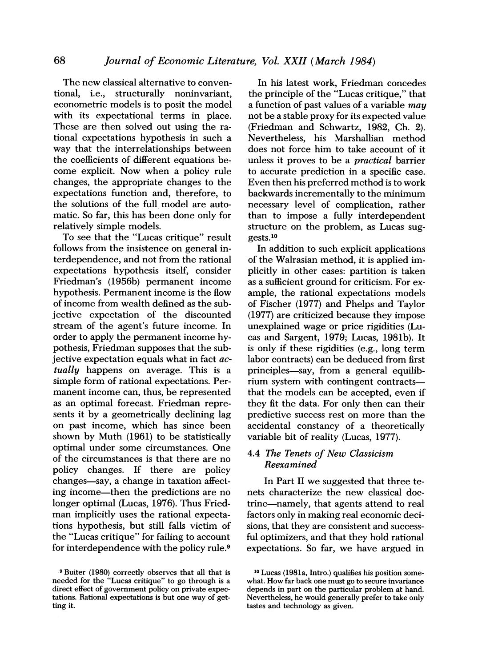**The new classical alternative to conventional, i.e., structurally noninvariant, econometric models is to posit the model with its expectational terms in place. These are then solved out using the rational expectations hypothesis in such a way that the interrelationships between the coefficients of different equations become explicit. Now when a policy rule changes, the appropriate changes to the expectations function and, therefore, to the solutions of the full model are automatic. So far, this has been done only for relatively simple models.** 

**To see that the "Lucas critique" result follows from the insistence on general interdependence, and not from the rational expectations hypothesis itself, consider Friedman's (1956b) permanent income hypothesis. Permanent income is the flow of income from wealth defined as the subjective expectation of the discounted stream of the agent's future income. In order to apply the permanent income hypothesis, Friedman supposes that the subjective expectation equals what in fact actually happens on average. This is a simple form of rational expectations. Permanent income can, thus, be represented as an optimal forecast. Friedman represents it by a geometrically declining lag on past income, which has since been shown by Muth (1961) to be statistically optimal under some circumstances. One of the circumstances is that there are no policy changes. If there are policy changes-say, a change in taxation affecting income-then the predictions are no longer optimal (Lucas, 1976). Thus Friedman implicitly uses the rational expectations hypothesis, but still falls victim of the "Lucas critique" for failing to account for interdependence with the policy rule.9** 

**In his latest work, Friedman concedes the principle of the "Lucas critique," that a function of past values of a variable may not be a stable proxy for its expected value (Friedman and Schwartz, 1982, Ch. 2). Nevertheless, his Marshallian method does not force him to take account of it unless it proves to be a practical barrier to accurate prediction in a specific case. Even then his preferred method is to work backwards incrementally to the minimum necessary level of complication, rather than to impose a fully interdependent structure on the problem, as Lucas suggests.10** 

**In addition to such explicit applications of the Walrasian method, it is applied implicitly in other cases: partition is taken as a sufficient ground for criticism. For example, the rational expectations models of Fischer (1977) and Phelps and Taylor (1977) are criticized because they impose unexplained wage or price rigidities (Lucas and Sargent, 1979; Lucas, 1981b). It is only if these rigidities (e.g., long term labor contracts) can be deduced from first principles-say, from a general equilibrium system with contingent contractsthat the models can be accepted, even if they fit the data. For only then can their predictive success rest on more than the accidental constancy of a theoretically variable bit of reality (Lucas, 1977).** 

## **4.4 The Tenets of New Classicism Reexamined**

**In Part II we suggested that three tenets characterize the new classical doctrine-namely, that agents attend to real factors only in making real economic decisions, that they are consistent and successful optimizers, and that they hold rational expectations. So far, we have argued in** 

**<sup>9</sup> Buiter (1980) correctly observes that all that is needed for the "Lucas critique" to go through is a direct effect of government policy on private expectations. Rational expectations is but one way of getting it.** 

**<sup>10</sup> Lucas (1981a, Intro.) qualifies his position somewhat. How far back one must go to secure invariance depends in part on the particular problem at hand. Nevertheless, he would generally prefer to take only tastes and technology as given.**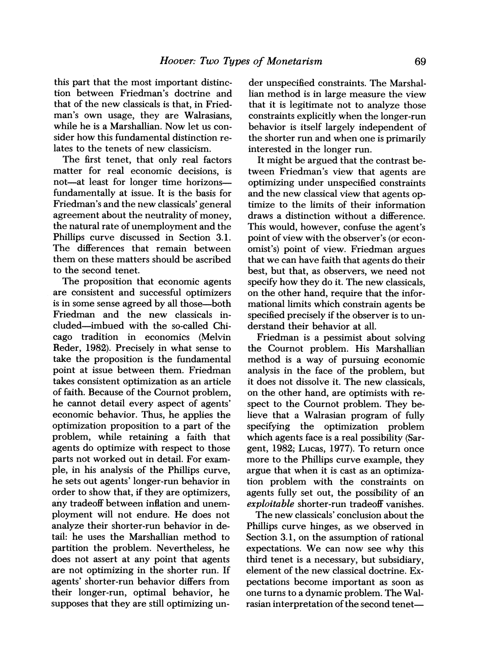**this part that the most important distinction between Friedman's doctrine and that of the new classicals is that, in Friedman's own usage, they are Walrasians, while he is a Marshallian. Now let us consider how this fundamental distinction relates to the tenets of new classicism.** 

**The first tenet, that only real factors matter for real economic decisions, is not-at least for longer time horizonsfundamentally at issue. It is the basis for Friedman's and the new classicals' general agreement about the neutrality of money, the natural rate of unemployment and the Phillips curve discussed in Section 3.1. The differences that remain between them on these matters should be ascribed to the second tenet.** 

**The proposition that economic agents are consistent and successful optimizers is in some sense agreed by all those-both Friedman and the new classicals included-imbued with the so-called Chicago tradition in economics (Melvin Reder, 1982). Precisely in what sense to take the proposition is the fundamental point at issue between them. Friedman takes consistent optimization as an article of faith. Because of the Cournot problem, he cannot detail every aspect of agents' economic behavior. Thus, he applies the optimization proposition to a part of the problem, while retaining a faith that agents do optimize with respect to those parts not worked out in detail. For example, in his analysis of the Phillips curve, he sets out agents' longer-run behavior in order to show that, if they are optimizers, any tradeoff between inflation and unemployment will not endure. He does not analyze their shorter-run behavior in detail: he uses the Marshallian method to partition the problem. Nevertheless, he does not assert at any point that agents are not optimizing in the shorter run. If agents' shorter-run behavior differs from their longer-run, optimal behavior, he supposes that they are still optimizing un-** **der unspecified constraints. The Marshallian method is in large measure the view that it is legitimate not to analyze those constraints explicitly when the longer-run behavior is itself largely independent of the shorter run and when one is primarily interested in the longer run.** 

**It might be argued that the contrast between Friedman's view that agents are optimizing under unspecified constraints and the new classical view that agents optimize to the limits of their information draws a distinction without a difference. This would, however, confuse the agent's point of view with the observer's (or economist's) point of view. Friedman argues that we can have faith that agents do their best, but that, as observers, we need not specify how they do it. The new classicals, on the other hand, require that the informational limits which constrain agents be specified precisely if the observer is to understand their behavior at all.** 

**Friedman is a pessimist about solving the Cournot problem. His Marshallian method is a way of pursuing economic analysis in the face of the problem, but it does not dissolve it. The new classicals, on the other hand, are optimists with respect to the Cournot problem. They believe that a Walrasian program of fully specifying the optimization problem which agents face is a real possibility (Sargent, 1982; Lucas, 1977). To return once more to the Phillips curve example, they argue that when it is cast as an optimization problem with the constraints on agents fully set out, the possibility of an exploitable shorter-run tradeoff vanishes.** 

**The new classicals' conclusion about the Phillips curve hinges, as we observed in Section 3.1, on the assumption of rational expectations. We can now see why this third tenet is a necessary, but subsidiary, element of the new classical doctrine. Expectations become important as soon as one turns to a dynamic problem. The Wal**rasian interpretation of the second tenet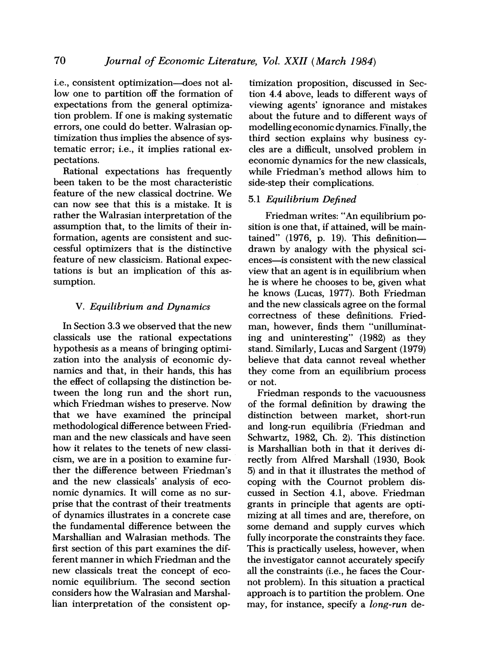i.e., consistent optimization-does not al**low one to partition off the formation of expectations from the general optimization problem. If one is making systematic errors, one could do better. Walrasian optimization thus implies the absence of systematic error; i.e., it implies rational expectations.** 

**Rational expectations has frequently been taken to be the most characteristic feature of the new classical doctrine. We can now see that this is a mistake. It is rather the Walrasian interpretation of the assumption that, to the limits of their information, agents are consistent and successful optimizers that is the distinctive feature of new classicism. Rational expectations is but an implication of this assumption.** 

#### **V. Equilibrium and Dynamics**

**In Section 3.3 we observed that the new classicals use the rational expectations hypothesis as a means of bringing optimization into the analysis of economic dynamics and that, in their hands, this has the effect of collapsing the distinction between the long run and the short run, which Friedman wishes to preserve. Now that we have examined the principal methodological difference between Friedman and the new classicals and have seen how it relates to the tenets of new classicism, we are in a position to examine further the difference between Friedman's and the new classicals' analysis of economic dynamics. It will come as no surprise that the contrast of their treatments of dynamics illustrates in a concrete case the fundamental difference between the Marshallian and Walrasian methods. The first section of this part examines the different manner in which Friedman and the new classicals treat the concept of economic equilibrium. The second section considers how the Walrasian and Marshallian interpretation of the consistent op-**

**timization proposition, discussed in Section 4.4 above, leads to different ways of viewing agents' ignorance and mistakes about the future and to different ways of modelling economic dynamics. Finally, the third section explains why business cycles are a difficult, unsolved problem in economic dynamics for the new classicals, while Friedman's method allows him to side-step their complications.** 

#### **5.1 Equilibrium Defined**

**Friedman writes: "An equilibrium position is one that, if attained, will be maintained" (1976, p. 19). This definitiondrawn by analogy with the physical sciences-is consistent with the new classical view that an agent is in equilibrium when he is where he chooses to be, given what he knows (Lucas, 1977). Both Friedman and the new classicals agree on the formal correctness of these definitions. Friedman, however, finds them "unilluminating and uninteresting" (1982) as they stand. Similarly, Lucas and Sargent (1979) believe that data cannot reveal whether they come from an equilibrium process or not.** 

**Friedman responds to the vacuousness of the formal definition by drawing the distinction between market, short-run and long-run equilibria (Friedman and Schwartz, 1982, Ch. 2). This distinction is Marshallian both in that it derives directly from Alfred Marshall (1930, Book 5) and in that it illustrates the method of coping with the Cournot problem discussed in Section 4.1, above. Friedman grants in principle that agents are optimizing at all times and are, therefore, on some demand and supply curves which fully incorporate the constraints they face. This is practically useless, however, when the investigator cannot accurately specify all the constraints (i.e., he faces the Cournot problem). In this situation a practical approach is to partition the problem. One may, for instance, specify a long-run de-**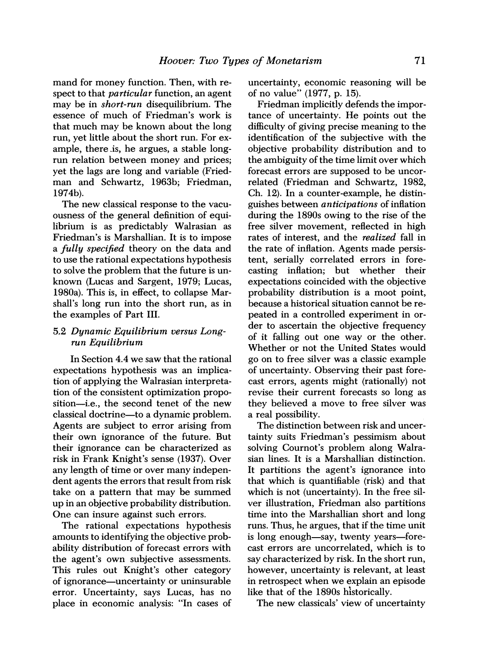**mand for money function. Then, with respect to that particular function, an agent may be in short-run disequilibrium. The essence of much of Friedman's work is that much may be known about the long run, yet little about the short run. For example, there is, he argues, a stable longrun relation between money and prices; yet the lags are long and variable (Friedman and Schwartz, 1963b; Friedman, 1974b).** 

**The new classical response to the vacuousness of the general definition of equilibrium is as predictably Walrasian as Friedman's is Marshallian. It is to impose a fully specified theory on the data and to use the rational expectations hypothesis to solve the problem that the future is unknown (Lucas and Sargent, 1979; Lucas, 1980a). This is, in effect, to collapse Marshall's long run into the short run, as in the examples of Part III.** 

## **5.2 Dynamic Equilibrium versus Longrun Equilibrium**

**In Section 4.4 we saw that the rational expectations hypothesis was an implication of applying the Walrasian interpretation of the consistent optimization proposition-i.e., the second tenet of the new classical doctrine-to a dynamic problem. Agents are subject to error arising from their own ignorance of the future. But their ignorance can be characterized as risk in Frank Knight's sense (1937). Over any length of time or over many independent agents the errors that result from risk take on a pattern that may be summed up in an objective probability distribution. One can insure against such errors.** 

**The rational expectations hypothesis amounts to identifying the objective probability distribution of forecast errors with the agent's own subjective assessments. This rules out Knight's other category of ignorance-uncertainty or uninsurable error. Uncertainty, says Lucas, has no place in economic analysis: "In cases of**  **uncertainty, economic reasoning will be of no value" (1977, p. 15).** 

**Friedman implicitly defends the importance of uncertainty. He points out the difficulty of giving precise meaning to the identification of the subjective with the objective probability distribution and to the ambiguity of the time limit over which forecast errors are supposed to be uncorrelated (Friedman and Schwartz, 1982, Ch. 12). In a counter-example, he distinguishes between anticipations of inflation during the 1890s owing to the rise of the free silver movement, reflected in high rates of interest, and the realized fall in the rate of inflation. Agents made persistent, serially correlated errors in forecasting inflation; but whether their expectations coincided with the objective probability distribution is a moot point, because a historical situation cannot be repeated in a controlled experiment in order to ascertain the objective frequency of it falling out one way or the other. Whether or not the United States would go on to free silver was a classic example of uncertainty. Observing their past forecast errors, agents might (rationally) not revise their current forecasts so long as they believed a move to free silver was a real possibility.** 

**The distinction between risk and uncertainty suits Friedman's pessimism about solving Cournot's problem along Walrasian lines. It is a Marshallian distinction. It partitions the agent's ignorance into that which is quantifiable (risk) and that which is not (uncertainty). In the free silver illustration, Friedman also partitions time into the Marshallian short and long runs. Thus, he argues, that if the time unit**  is long enough—say, twenty years—fore**cast errors are uncorrelated, which is to say characterized by risk. In the short run, however, uncertainty is relevant, at least in retrospect when we explain an episode like that of the 1890s historically.** 

**The new classicals' view of uncertainty**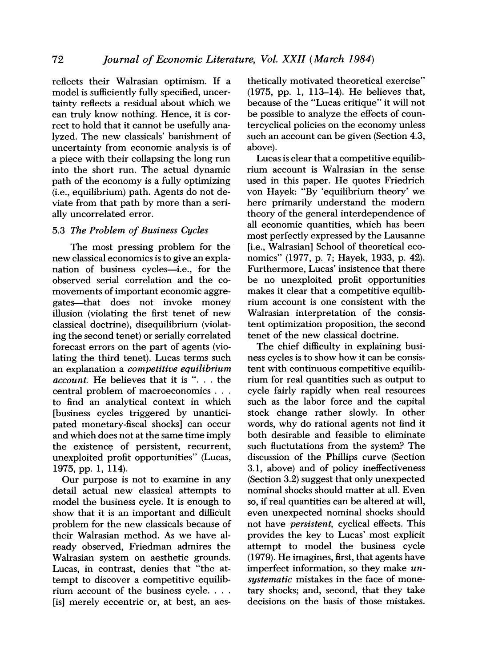**reflects their Walrasian optimism. If a model is sufficiently fully specified, uncertainty reflects a residual about which we can truly know nothing. Hence, it is correct to hold that it cannot be usefully analyzed. The new classicals' banishment of uncertainty from economic analysis is of a piece with their collapsing the long run into the short run. The actual dynamic path of the economy is a fully optimizing (i.e., equilibrium) path. Agents do not deviate from that path by more than a serially uncorrelated error.** 

### **5.3 The Problem of Business Cycles**

**The most pressing problem for the new classical economics is to give an expla**nation of business cycles-i.e., for the **observed serial correlation and the comovements of important economic aggregates-that does not invoke money illusion (violating the first tenet of new classical doctrine), disequilibrium (violating the second tenet) or serially correlated forecast errors on the part of agents (violating the third tenet). Lucas terms such an explanation a competitive equilibrium account. He believes that it is ". . . the central problem of macroeconomics . . . to find an analytical context in which [business cycles triggered by unanticipated monetary-fiscal shocks] can occur and which does not at the same time imply the existence of persistent, recurrent, unexploited profit opportunities" (Lucas, 1975, pp. 1, 114).** 

**Our purpose is not to examine in any detail actual new classical attempts to model the business cycle. It is enough to show that it is an important and difficult problem for the new classicals because of their Walrasian method. As we have already observed, Friedman admires the Walrasian system on aesthetic grounds. Lucas, in contrast, denies that "the attempt to discover a competitive equilibrium account of the business cycle. . .. [is] merely eccentric or, at best, an aes-** **thetically motivated theoretical exercise" (1975, pp. 1, 113-14). He believes that, because of the "Lucas critique" it will not be possible to analyze the effects of countercyclical policies on the economy unless such an account can be given (Section 4.3, above).** 

**Lucas is clear that a competitive equilibrium account is Walrasian in the sense used in this paper. He quotes Friedrich von Hayek: "By 'equilibrium theory' we here primarily understand the modern theory of the general interdependence of all economic quantities, which has been most perfectly expressed by the Lausanne [i.e., Walrasian] School of theoretical economics" (1977, p. 7; Hayek, 1933, p. 42). Furthermore, Lucas' insistence that there be no unexploited profit opportunities makes it clear that a competitive equilibrium account is one consistent with the Walrasian interpretation of the consistent optimization proposition, the second tenet of the new classical doctrine.** 

**The chief difficulty in explaining business cycles is to show how it can be consistent with continuous competitive equilibrium for real quantities such as output to cycle fairly rapidly when real resources such as the labor force and the capital stock change rather slowly. In other words, why do rational agents not find it both desirable and feasible to eliminate such fluctutations from the system? The discussion of the Phillips curve (Section 3.1, above) and of policy ineffectiveness (Section 3.2) suggest that only unexpected nominal shocks should matter at all. Even so, if real quantities can be altered at will, even unexpected nominal shocks should not have persistent, cyclical effects. This provides the key to Lucas' most explicit attempt to model the business cycle (1979). He imagines, first, that agents have imperfect information, so they make unsystematic mistakes in the face of monetary shocks; and, second, that they take decisions on the basis of those mistakes.**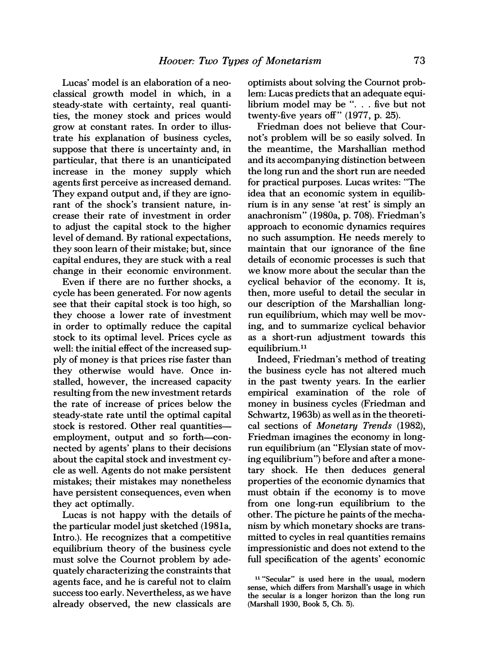**Lucas' model is an elaboration of a neoclassical growth model in which, in a steady-state with certainty, real quantities, the money stock and prices would grow at constant rates. In order to illustrate his explanation of business cycles, suppose that there is uncertainty and, in particular, that there is an unanticipated increase in the money supply which agents first perceive as increased demand. They expand output and, if they are ignorant of the shock's transient nature, increase their rate of investment in order to adjust the capital stock to the higher level of demand. By rational expectations, they soon learn of their mistake; but, since capital endures, they are stuck with a real change in their economic environment.** 

**Even if there are no further shocks, a cycle has been generated. For now agents see that their capital stock is too high, so they choose a lower rate of investment in order to optimally reduce the capital stock to its optimal level. Prices cycle as well: the initial effect of the increased supply of money is that prices rise faster than they otherwise would have. Once installed, however, the increased capacity resulting from the new investment retards the rate of increase of prices below the steady-state rate until the optimal capital stock is restored. Other real quantitiesemployment, output and so forth-connected by agents' plans to their decisions about the capital stock and investment cycle as well. Agents do not make persistent mistakes; their mistakes may nonetheless have persistent consequences, even when they act optimally.** 

**Lucas is not happy with the details of the particular model just sketched (1981a, Intro.). He recognizes that a competitive equilibrium theory of the business cycle must solve the Cournot problem by adequately characterizing the constraints that agents face, and he is careful not to claim success too early. Nevertheless, as we have already observed, the new classicals are** 

**optimists about solving the Cournot problem: Lucas predicts that an adequate equilibrium model may be ". . . five but not twenty-five years off" (1977, p. 25).** 

**Friedman does not believe that Cournot's problem will be so easily solved. In the meantime, the Marshallian method and its accompanying distinction between the long run and the short run are needed for practical purposes. Lucas writes: "The idea that an economic system in equilibrium is in any sense 'at rest' is simply an anachronism" (1980a, p. 708). Friedman's approach to economic dynamics requires no such assumption. He needs merely to maintain that our ignorance of the fine details of economic processes is such that we know more about the secular than the cyclical behavior of the economy. It is, then, more useful to detail the secular in our description of the Marshallian longrun equilibrium, which may well be moving, and to summarize cyclical behavior as a short-run adjustment towards this equilibrium."1** 

**Indeed, Friedman's method of treating the business cycle has not altered much in the past twenty years. In the earlier empirical examination of the role of money in business cycles (Friedman and Schwartz, 1963b) as well as in the theoretical sections of Monetary Trends (1982), Friedman imagines the economy in longrun equilibrium (an "Elysian state of moving equilibrium") before and after a monetary shock. He then deduces general properties of the economic dynamics that must obtain if the economy is to move from one long-run equilibrium to the other. The picture he paints of the mechanism by which monetary shocks are transmitted to cycles in real quantities remains impressionistic and does not extend to the full specification of the agents' economic** 

**<sup>&</sup>quot;"Secular" is used here in the usual, modern sense, which differs from Marshall's usage in which the secular is a longer horizon than the long run (Marshall 1930, Book 5, Ch. 5).**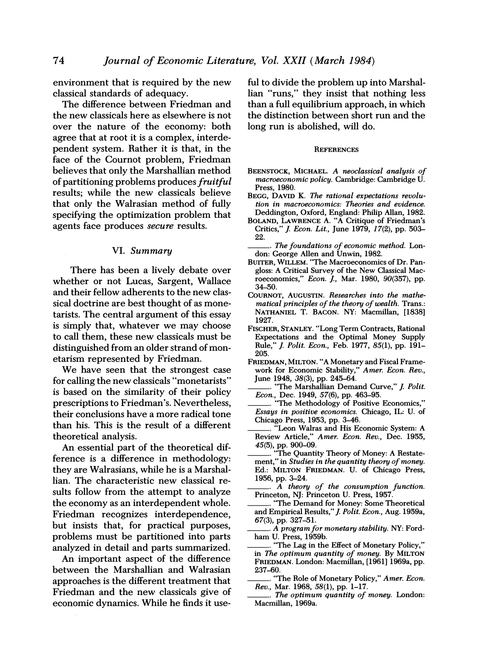**environment that is required by the new classical standards of adequacy.** 

**The difference between Friedman and the new classicals here as elsewhere is not over the nature of the economy: both agree that at root it is a complex, interdependent system. Rather it is that, in the face of the Cournot problem, Friedman believes that only the Marshallian method of partitioning problems produces fruitful results; while the new classicals believe that only the Walrasian method of fully specifying the optimization problem that agents face produces secure results.** 

#### **VI. Summary**

**There has been a lively debate over whether or not Lucas, Sargent, Wallace and their fellow adherents to the new classical doctrine are best thought of as monetarists. The central argument of this essay is simply that, whatever we may choose to call them, these new classicals must be distinguished from an older strand of monetarism represented by Friedman.** 

**We have seen that the strongest case for calling the new classicals "monetarists" is based on the similarity of their policy prescriptions to Friedman's. Nevertheless, their conclusions have a more radical tone than his. This is the result of a different theoretical analysis.** 

**An essential part of the theoretical difference is a difference in methodology: they are Walrasians, while he is a Marshallian. The characteristic new classical results follow from the attempt to analyze the economy as an interdependent whole. Friedman recognizes interdependence, but insists that, for practical purposes, problems must be partitioned into parts analyzed in detail and parts summarized.** 

**An important aspect of the difference between the Marshallian and Walrasian approaches is the different treatment that Friedman and the new classicals give of economic dynamics. While he finds it use-** **ful to divide the problem up into Marshallian "runs," they insist that nothing less than a full equilibrium approach, in which the distinction between short run and the long run is abolished, will do.** 

#### **REFERENCES**

- **BEENSTOCK, MICHAEL. A neoclassical analysis of macroeconomic policy. Cambridge: Cambridge U. Press, 1980.**
- **BEGG, DAVID K. The rational expectations revolution in macroeconomics: Theories and evidence. Deddington, Oxford, England: Philip Allan, 1982.**
- **BoLAND, LAWRENCE A. "A Critique of Friedman's Critics," J Econ. Lit., June 1979, 17(2), pp. 503- 22.**
- **. The foundations of economic method. London: George Allen and Unwin, 1982.**
- **BUITER, WILLEM. "The Macroeconomics of Dr. Pangloss: A Critical Survey of the New Classical Macroeconomics," Econ. J., Mar. 1980, 90(357), pp. 34-50.**
- **COURNOT, AUGUSTIN. Researches into the mathematical principles of the theory of wealth. Trans.: NATHANIEL T. BACON. NY: Macmillan, [1838] 1927.**
- **FISCHER, STANLEY. "Long Term Contracts, Rational Expectations and the Optimal Money Supply Rule," J Polit. Econ., Feb. 1977, 85(1), pp. 191- 205.**
- **FRIEDMAN, MILTON. "A Monetary and Fiscal Framework for Economic Stability," Amer. Econ. Rev., June 1948, 38(3), pp. 245-64.** 
	- **. "The Marshallian Demand Curve," J. Polit. Econ., Dec. 1949, 57(6), pp. 463-95.**
- **. "The Methodology of Positive Economics," Essays in positive economics. Chicago, IL: U. of Chicago Press, 1953, pp. 3-46.**
- **. "Leon Walras and His Economic System: A Review Article," Amer. Econ. Rev., Dec. 1955, 45(5), pp. 900-09.**
- **.\_\_ "The Quantity Theory of Money: A Restatement," in Studies in the quantity theory of money. Ed.: MILTON FRIEDMAN. U. of Chicago Press, 1956, pp. 3-24.**
- **\_ A theory of the consumption function. Princeton, NJ: Princeton U. Press, 1957.**
- **. "The Demand for Money: Some Theoretical**  and Empirical Results," *J. Polit. Econ.*, Aug. 1959a, **67(3), pp. 327-51.**
- **. A program for monetary stability. NY: Fordham U. Press, 1959b.**
- **. "The Lag in the Effect of Monetary Policy," in The optimum quantity of money. By MILTON FRIEDMAN. London: Macmillan, [1961] 1969a, pp. 237-60.**
- **. "The Role of Monetary Policy," Amer. Econ. Rev., Mar. 1968, 58(1), pp. 1-17.**
- **. The optimum quantity of money. London: Macmillan, 1969a.**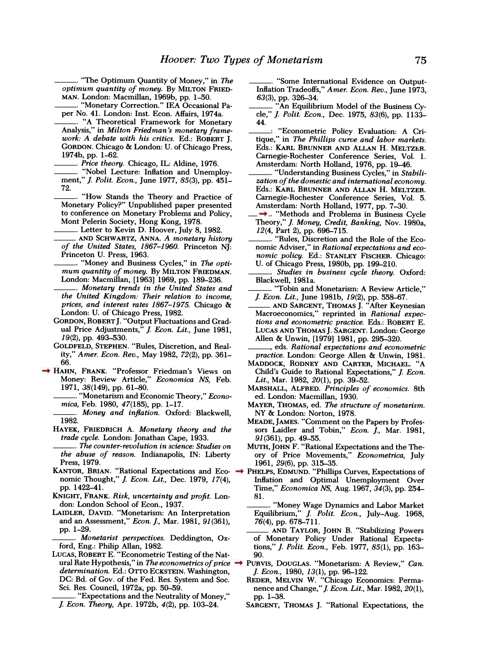**. "The Optimum Quantity of Money," in The optimum quantity of money. By MILTON FRIED-MAN. London: Macmillan, 1969b, pp. 1-50.** 

**. "Monetary Correction." IEA Occasional Paper No. 41. London: Inst. Econ. Affairs, 1974a.** 

- **. "A Theoretical Framework for Monetary Analysis," in Milton Friedman's monetary framework: A debate with his critics. Ed.: ROBERT J. GORDON. Chicago & London: U. of Chicago Press, 1974b, pp. 1-62.** 
	- **. Price theory. Chicago, IL: Aldine, 1976.**
- **"Nobel Lecture: Inflation and Unemployment," J. Polit. Econ., June 1977, 85(3), pp. 451- 72.**
- **. "How Stands the Theory and Practice of Monetary Policy?" Unpublished paper presented to conference on Monetary Problems and Policy, Mont Pelerin Society, Hong Kong, 1978.**

**. Letter to Kevin D. Hoover, July 8, 1982.** 

- **AND SCHWARTZ, ANNA. A monetary history of the United States, 1867-1960. Princeton NJ: Princeton U. Press, 1963.**
- **. "Money and Business Cycles," in The optimum quantity of money. By MILTON FRIEDMAN. London: Macmillan, [1963] 1969, pp. 189-236.**
- **. Monetary trends in the United States and the United Kingdom: Their relation to income, prices, and interest rates 1867-1975. Chicago & London: U. of Chicago Press, 1982.**
- **GORDON, RoBERTJ. "Output Fluctuations and Grad**ual Price Adjustments," *J. Econ. Lit.*, June 1981, **19(2), pp. 493-530.**
- **GOLDFELD, STEPHEN. "Rules, Discretion, and Reality," Amer. Econ. Rev., May 1982, 72(2), pp. 361- 66.**
- **HAHN, FRANK. "Professor Friedman's Views on Money: Review Article," Economica NS, Feb. 1971, 38(149), pp. 61-80.** 
	- **. "Monetarism and Economic Theory," Economica, Feb. 1980, 47(185), pp. 1-17.**
	- **. Money and inflation. Oxford: Blackwell, 1982.**
	- **HAYEK, FRIEDRICH A. Monetary theory and the trade cycle. London: Jonathan Cape, 1933.**
	- **. The counter-revolution in science: Studies on the abuse of reason. Indianapolis, IN: Liberty Press, 1979.**
	- KANTOR, BRIAN. "Rational Expectations and Eco**nomic Thought," J. Econ. Lit., Dec. 1979, 17(4), pp. 1422-41.**
	- **KNIGHT, FRANK. Risk, uncertainty and profit. London: London School of Econ., 1937.**
	- **LAIDLER, DAVID. "Monetarism: An Interpretation and an Assessment," Econ. J, Mar. 1981, 91(361), pp. 1-29.**
	- **. Monetarist perspectives. Deddington, Oxford, Eng.: Philip Allan, 1982.**
	- **LUCAS, ROBERT E. "Econometric Testing of the Natural Rate Hypothesis," in The econometrics of price determination. Ed.: OTTO ECKSTEIN. Washington, DC: Bd. of Gov. of the Fed. Res. System and Soc. Sci. Res. Council, 1972a, pp. 50-59.**
	- **. "Expectations and the Neutrality of Money," J Econ. Theory, Apr. 1972b, 4(2), pp. 103-24.**

**. "Some International Evidence on Output-Inflation Tradeoffs," Amer. Econ. Rev., June 1973, 63(3), pp. 326-34.** 

- An Equilibrium Model of the Business Cy**cle," J. Polit. Econ., Dec. 1975, 83(6), pp. 1133- 44.**
- **: ""Econometric Policy Evaluation: A Critique," in The Phillips curve and labor markets. Eds.: KARL BRUNNER AND ALLAN H. MELTZER. Carnegie-Rochester Conference Series, Vol. 1. Amsterdam: North Holland, 1976, pp. 19-46.**
- **. "Understanding Business Cycles," in Stabilization of the domestic and international economy. Eds.: KARL BRUNNER AND ALLAN H. MELTZER. Carnegie-Rochester Conference Series, Vol. 5. Amsterdam: North Holland, 1977, pp. 7-30.**
- $\rightarrow$  **∴ "Methods and Problems in Business Cycle Theory," J. Money, Credit, Banking, Nov. 1980a, 12(4, Part 2), pp. 696-715.**
- **. "Rules, Discretion and the Role of the Economic Adviser," in Rational expectations and economic policy. Ed.: STANLEY FISCHER. Chicago: U. of Chicago Press, 1980b, pp. 199-210.**
- **. Studies in business cycle theory. Oxford: Blackwell, 1981a.**
- **. "Tobin and Monetarism: A Review Article," J. Econ. Lit., June 1981b, 19(2), pp. 558-67.**
- **AND SARGENT, THOMAS J. "After Keynesian Macroeconomics," reprinted in Rational expections and econometric practice. Eds.: ROBERT E. LUCAS AND THOMAS J. SARGENT. London: George Allen & Unwin, [1979] 1981, pp. 295-320.**
- **, eds. Rational expectations and econometric practice. London: George Allen & Unwin, 1981.**
- **MADDOCK, RODNEY AND CARTER, MICHAEL. "A Child's Guide to Rational Expectations," J. Econ. Lit., Mar. 1982, 20(1), pp. 39-52.**
- **MARSHALL, ALFRED. Principles of economics. 8th ed. London: Macmillan, 1930.**
- **MAYER, THOMAS, ed. The structure of monetarism. NY & London: Norton, 1978.**
- **MEADE, JAMES. "Comment on the Papers by Professors Laidler and Tobin," Econ. J, Mar. 1981, 91(361), pp. 49-55.**
- **MUTH, JOHN F. "Rational Expectations and the Theory of Price Movements," Econometrica, July 1961, 29(6), pp. 315-35.**
- → PHELPS, EDMUND. "Phillips Curves, Expectations of **Inflation and Optimal Unemployment Over Time," Economica NS, Aug. 1967, 34(3), pp. 254- 81.** 
	- **. "Money Wage Dynamics and Labor Market**  Equilibrium," *J. Polit. Econ.*, July-Aug. 1968, **76(4), pp. 678-711.**
	- **AND TAYLOR, JOHN B. "Stabilizing Powers of Monetary Policy Under Rational Expectations," J. Polit. Econ., Feb. 1977, 85(1), pp. 163- 90.**
	- **PURVIS, DOUGLAS. "Monetarism: A Review," Can. J. Econ., 1980, 13(1), pp. 96-122.**
	- **REDER, MELVIN W. "Chicago Economics: Permanence and Change," J. Econ. Lit., Mar. 1982, 20(1), pp. 1-38.**
	- **SARGENT, THOMAS J. "Rational Expectations, the**